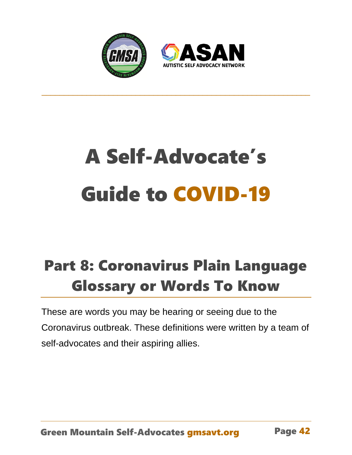



## A Self-Advocate's Guide to COVID-19

\_\_\_\_\_\_\_\_\_\_\_\_\_\_\_\_\_\_\_\_\_\_\_\_\_\_\_\_\_\_\_\_\_\_\_\_\_\_\_\_\_\_\_\_\_\_\_\_\_\_\_\_\_\_\_\_\_\_\_\_

## Part 8: Coronavirus Plain Language Glossary or Words To Know

These are words you may be hearing or seeing due to the Coronavirus outbreak. These definitions were written by a team of self-advocates and their aspiring allies.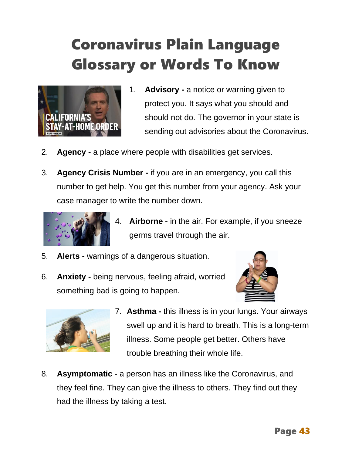## Coronavirus Plain Language Glossary or Words To Know



- 1. **Advisory -** a notice or warning given to protect you. It says what you should and should not do. The governor in your state is sending out advisories about the Coronavirus.
- 2. **Agency -** a place where people with disabilities get services.
- 3. **Agency Crisis Number -** if you are in an emergency, you call this number to get help. You get this number from your agency. Ask your case manager to write the number down.



- 4. **Airborne -** in the air. For example, if you sneeze germs travel through the air.
- 5. **Alerts -** warnings of a dangerous situation.
- 6. **Anxiety -** being nervous, feeling afraid, worried something bad is going to happen.





- 7. **Asthma -** this illness is in your lungs. Your airways swell up and it is hard to breath. This is a long-term illness. Some people get better. Others have trouble breathing their whole life.
- 8. **Asymptomatic** a person has an illness like the Coronavirus, and they feel fine. They can give the illness to others. They find out they had the illness by taking a test.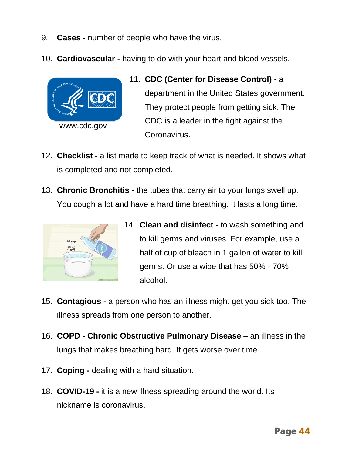- 9. **Cases -** number of people who have the virus.
- 10. **Cardiovascular -** having to do with your heart and blood vessels.



- 11. **CDC (Center for Disease Control) -** a department in the United States government. They protect people from getting sick. The CDC is a leader in the fight against the Coronavirus.
- 12. **Checklist -** a list made to keep track of what is needed. It shows what is completed and not completed.
- 13. **Chronic Bronchitis -** the tubes that carry air to your lungs swell up. You cough a lot and have a hard time breathing. It lasts a long time.



- 14. **Clean and disinfect -** to wash something and to kill germs and viruses. For example, use a half of cup of bleach in 1 gallon of water to kill germs. Or use a wipe that has 50% - 70% alcohol.
- 15. **Contagious -** a person who has an illness might get you sick too. The illness spreads from one person to another.
- 16. **COPD - Chronic Obstructive Pulmonary Disease** an illness in the lungs that makes breathing hard. It gets worse over time.
- 17. **Coping -** dealing with a hard situation.
- 18. **COVID-19 -** it is a new illness spreading around the world. Its nickname is coronavirus.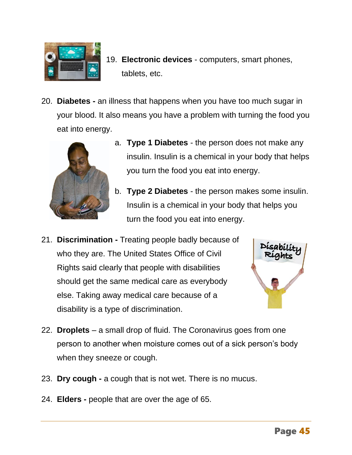

- 19. **Electronic devices** computers, smart phones, tablets, etc.
- 20. **Diabetes -** an illness that happens when you have too much sugar in your blood. It also means you have a problem with turning the food you eat into energy.



- a. **Type 1 Diabetes**  the person does not make any insulin. Insulin is a chemical in your body that helps you turn the food you eat into energy.
- b. **Type 2 Diabetes**  the person makes some insulin. Insulin is a chemical in your body that helps you turn the food you eat into energy.
- 21. **Discrimination -** Treating people badly because of who they are. The United States Office of Civil Rights said clearly that people with disabilities should get the same medical care as everybody else. Taking away medical care because of a disability is a type of discrimination.



- 22. **Droplets** a small drop of fluid. The Coronavirus goes from one person to another when moisture comes out of a sick person's body when they sneeze or cough.
- 23. **Dry cough -** a cough that is not wet. There is no mucus.
- 24. **Elders -** people that are over the age of 65.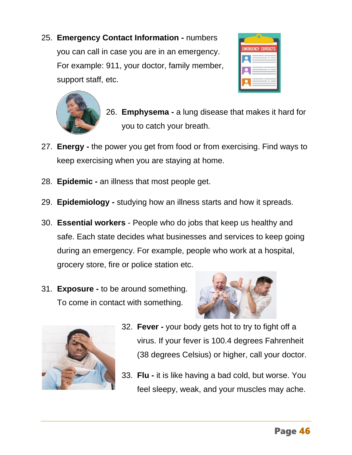25. **Emergency Contact Information -** numbers you can call in case you are in an emergency. For example: 911, your doctor, family member, support staff, etc.





- 26. **Emphysema -** a lung disease that makes it hard for you to catch your breath.
- 27. **Energy -** the power you get from food or from exercising. Find ways to keep exercising when you are staying at home.
- 28. **Epidemic -** an illness that most people get.
- 29. **Epidemiology -** studying how an illness starts and how it spreads.
- 30. **Essential workers** People who do jobs that keep us healthy and safe. Each state decides what businesses and services to keep going during an emergency. For example, people who work at a hospital, grocery store, fire or police station etc.
- 31. **Exposure -** to be around something. To come in contact with something.





- 32. **Fever -** your body gets hot to try to fight off a virus. If your fever is 100.4 degrees Fahrenheit (38 degrees Celsius) or higher, call your doctor.
- 33. **Flu -** it is like having a bad cold, but worse. You feel sleepy, weak, and your muscles may ache.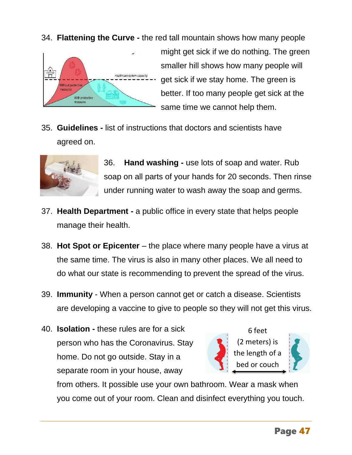34. **Flattening the Curve -** the red tall mountain shows how many people



might get sick if we do nothing. The green smaller hill shows how many people will get sick if we stay home. The green is better. If too many people get sick at the same time we cannot help them.

35. **Guidelines -** list of instructions that doctors and scientists have agreed on.



36. **Hand washing -** use lots of soap and water. Rub soap on all parts of your hands for 20 seconds. Then rinse under running water to wash away the soap and germs.

- 37. **Health Department -** a public office in every state that helps people manage their health.
- 38. **Hot Spot or Epicenter** the place where many people have a virus at the same time. The virus is also in many other places. We all need to do what our state is recommending to prevent the spread of the virus.
- 39. **Immunity** When a person cannot get or catch a disease. Scientists are developing a vaccine to give to people so they will not get this virus.
- 40. **Isolation -** these rules are for a sick person who has the Coronavirus. Stay home. Do not go outside. Stay in a separate room in your house, away



6 feet (2 meters) is the length of a bed or couch



from others. It possible use your own bathroom. Wear a mask when you come out of your room. Clean and disinfect everything you touch.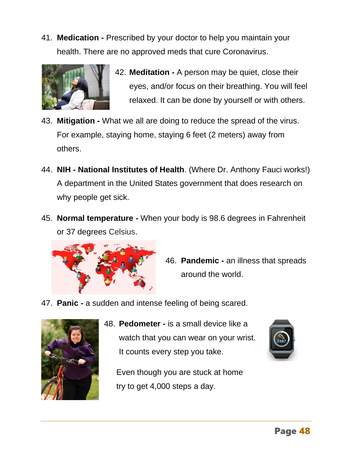41. **Medication -** Prescribed by your doctor to help you maintain your health. There are no approved meds that cure Coronavirus.



- 42. **Meditation -** A person may be quiet, close their eyes, and/or focus on their breathing. You will feel relaxed. It can be done by yourself or with others.
- 43. **Mitigation -** What we all are doing to reduce the spread of the virus. For example, staying home, staying 6 feet (2 meters) away from others.
- 44. **NIH - National Institutes of Health**. (Where Dr. Anthony Fauci works!) A department in the United States government that does research on why people get sick.
- 45. **Normal temperature -** When your body is 98.6 degrees in Fahrenheit or 37 degrees Celsius.



- 46. **Pandemic -** an illness that spreads around the world.
- 47. **Panic -** a sudden and intense feeling of being scared.



48. **Pedometer -** is a small device like a watch that you can wear on your wrist. It counts every step you take.

Even though you are stuck at home try to get 4,000 steps a day.

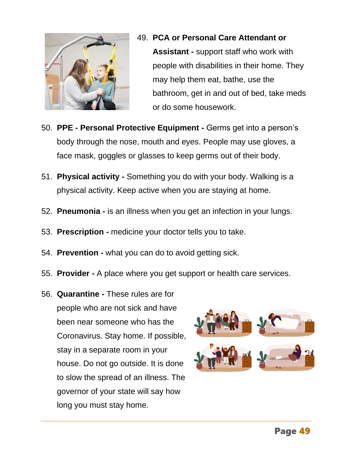

- 49. **PCA or Personal Care Attendant or Assistant -** support staff who work with people with disabilities in their home. They may help them eat, bathe, use the bathroom, get in and out of bed, take meds or do some housework.
- 50. **PPE - Personal Protective Equipment -** Germs get into a person's body through the nose, mouth and eyes. People may use gloves, a face mask, goggles or glasses to keep germs out of their body.
- 51. **Physical activity -** Something you do with your body. Walking is a physical activity. Keep active when you are staying at home.
- 52. **Pneumonia -** is an illness when you get an infection in your lungs.
- 53. **Prescription -** medicine your doctor tells you to take.
- 54. **Prevention -** what you can do to avoid getting sick.
- 55. **Provider -** A place where you get support or health care services.
- 56. **Quarantine -** These rules are for people who are not sick and have been near someone who has the Coronavirus. Stay home. If possible, stay in a separate room in your house. Do not go outside. It is done to slow the spread of an illness. The governor of your state will say how long you must stay home.

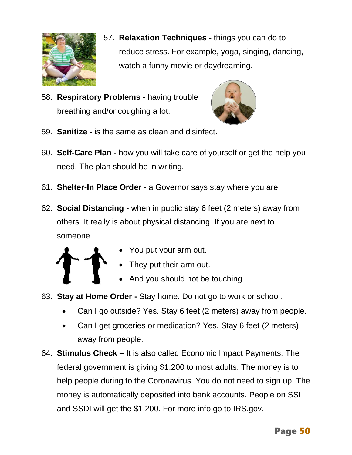

- 57. **Relaxation Techniques -** things you can do to reduce stress. For example, yoga, singing, dancing, watch a funny movie or daydreaming.
- 58. **Respiratory Problems -** having trouble breathing and/or coughing a lot.



- 59. **Sanitize -** is the same as clean and disinfect**.**
- 60. **Self-Care Plan -** how you will take care of yourself or get the help you need. The plan should be in writing.
- 61. **Shelter-In Place Order -** a Governor says stay where you are.
- 62. **Social Distancing -** when in public stay 6 feet (2 meters) away from others. It really is about physical distancing. If you are next to someone.



- You put your arm out.
- They put their arm out.
- And you should not be touching.
- 63. **Stay at Home Order -** Stay home. Do not go to work or school.
	- Can I go outside? Yes. Stay 6 feet (2 meters) away from people.
	- Can I get groceries or medication? Yes. Stay 6 feet (2 meters) away from people.
- 64. **Stimulus Check –** It is also called Economic Impact Payments. The federal government is giving \$1,200 to most adults. The money is to help people during to the Coronavirus. You do not need to sign up. The money is automatically deposited into bank accounts. People on SSI and SSDI will get the \$1,200. For more info go to IRS.gov.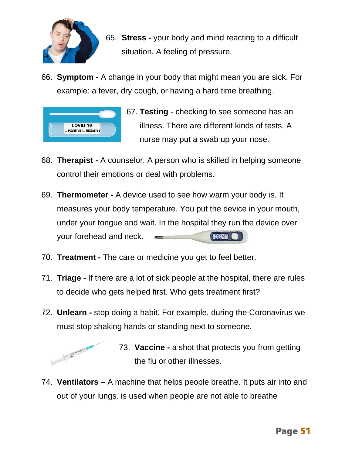

- 65. **Stress -** your body and mind reacting to a difficult situation. A feeling of pressure.
- 66. **Symptom -** A change in your body that might mean you are sick. For example: a fever, dry cough, or having a hard time breathing.



67. **Testing** - checking to see someone has an illness. There are different kinds of tests. A nurse may put a swab up your nose.

- 68. **Therapist -** A counselor. A person who is skilled in helping someone control their emotions or deal with problems.
- 69. **Thermometer -** A device used to see how warm your body is. It measures your body temperature. You put the device in your mouth, under your tongue and wait. In the hospital they run the device over your forehead and neck.  $\left| \frac{\text{H}}{\text{H}} \frac{\text{H}}{\text{H}} \frac{\text{H}}{\text{H}} \frac{\text{H}}{\text{H}} \frac{\text{H}}{\text{H}} \frac{\text{H}}{\text{H}} \frac{\text{H}}{\text{H}} \frac{\text{H}}{\text{H}} \frac{\text{H}}{\text{H}} \frac{\text{H}}{\text{H}} \frac{\text{H}}{\text{H}} \frac{\text{H}}{\text{H}} \frac{\text{H}}{\text{H}} \frac{\text{H}}{\text{H}} \frac{\text{H}}{\text{H}} \frac{\text{H}}{\text{H}} \frac{\text{H}}{\text{H}} \frac{\text{H}}{\text{H}} \$
- 70. **Treatment -** The care or medicine you get to feel better.
- 71. **Triage -** If there are a lot of sick people at the hospital, there are rules to decide who gets helped first. Who gets treatment first?
- 72. **Unlearn -** stop doing a habit. For example, during the Coronavirus we must stop shaking hands or standing next to someone.



73. **Vaccine -** a shot that protects you from getting the flu or other illnesses.

74. **Ventilators** – A machine that helps people breathe. It puts air into and out of your lungs. is used when people are not able to breathe